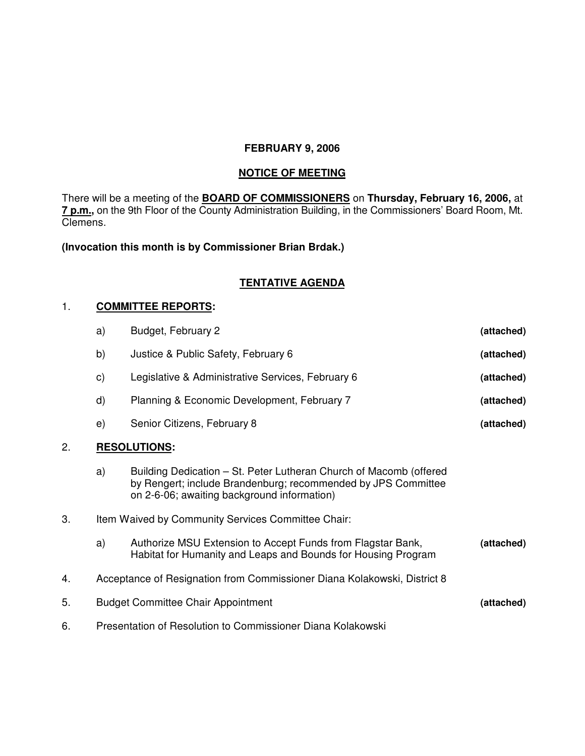# **FEBRUARY 9, 2006**

#### **NOTICE OF MEETING**

There will be a meeting of the **BOARD OF COMMISSIONERS** on **Thursday, February 16, 2006,** at **7 p.m.,** on the 9th Floor of the County Administration Building, in the Commissioners' Board Room, Mt. Clemens.

**(Invocation this month is by Commissioner Brian Brdak.)**

# **TENTATIVE AGENDA**

### 1. **COMMITTEE REPORTS:**

|    | a)                                                                       | Budget, February 2                                                                                                                                                                 | (attached) |
|----|--------------------------------------------------------------------------|------------------------------------------------------------------------------------------------------------------------------------------------------------------------------------|------------|
|    | b)                                                                       | Justice & Public Safety, February 6                                                                                                                                                | (attached) |
|    | C)                                                                       | Legislative & Administrative Services, February 6                                                                                                                                  | (attached) |
|    | d)                                                                       | Planning & Economic Development, February 7                                                                                                                                        | (attached) |
|    | e)                                                                       | Senior Citizens, February 8                                                                                                                                                        | (attached) |
| 2. | <b>RESOLUTIONS:</b>                                                      |                                                                                                                                                                                    |            |
|    | a)                                                                       | Building Dedication – St. Peter Lutheran Church of Macomb (offered<br>by Rengert; include Brandenburg; recommended by JPS Committee<br>on 2-6-06; awaiting background information) |            |
| 3. | Item Waived by Community Services Committee Chair:                       |                                                                                                                                                                                    |            |
|    | a)                                                                       | Authorize MSU Extension to Accept Funds from Flagstar Bank,<br>Habitat for Humanity and Leaps and Bounds for Housing Program                                                       | (attached) |
| 4. | Acceptance of Resignation from Commissioner Diana Kolakowski, District 8 |                                                                                                                                                                                    |            |
| 5. | <b>Budget Committee Chair Appointment</b><br>(attached)                  |                                                                                                                                                                                    |            |
| 6. | Presentation of Resolution to Commissioner Diana Kolakowski              |                                                                                                                                                                                    |            |
|    |                                                                          |                                                                                                                                                                                    |            |